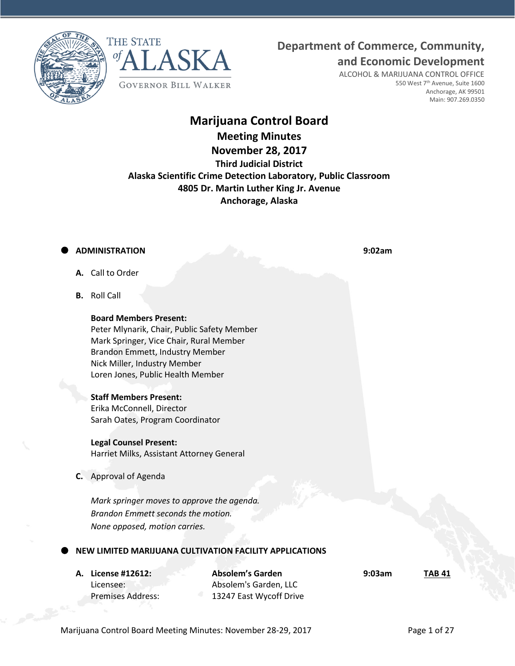**Department of Commerce, Community,**





ALCOHOL & MARIJUANA CONTROL OFFICE 550 West 7<sup>th</sup> Avenue, Suite 1600 Anchorage, AK 99501 Main: 907.269.0350

**and Economic Development**

# **Marijuana Control Board**

**Meeting Minutes**

# **November 28, 2017 Third Judicial District Alaska Scientific Crime Detection Laboratory, Public Classroom 4805 Dr. Martin Luther King Jr. Avenue Anchorage, Alaska**

## **ADMINISTRATION 9:02am**

- **A.** Call to Order
- **B.** Roll Call

**Board Members Present:** Peter Mlynarik, Chair, Public Safety Member Mark Springer, Vice Chair, Rural Member Brandon Emmett, Industry Member Nick Miller, Industry Member Loren Jones, Public Health Member

## **Staff Members Present:**

Erika McConnell, Director Sarah Oates, Program Coordinator

### **Legal Counsel Present:**

Harriet Milks, Assistant Attorney General

**C.** Approval of Agenda

*Mark springer moves to approve the agenda. Brandon Emmett seconds the motion. None opposed, motion carries.*

## **NEW LIMITED MARIJUANA CULTIVATION FACILITY APPLICATIONS**

**A. License #12612: Absolem's Garden 9:03am TAB 41** Licensee: Absolem's Garden, LLC Premises Address: 13247 East Wycoff Drive

Marijuana Control Board Meeting Minutes: November 28-29, 2017 Page 1 of 27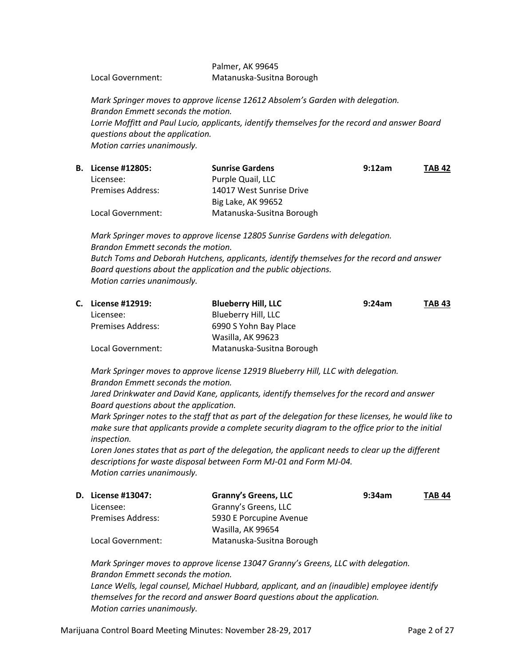### Palmer, AK 99645 Local Government: Matanuska-Susitna Borough

*Mark Springer moves to approve license 12612 Absolem's Garden with delegation. Brandon Emmett seconds the motion. Lorrie Moffitt and Paul Lucio, applicants, identify themselves for the record and answer Board questions about the application. Motion carries unanimously.*

| <b>B.</b> License #12805: | <b>Sunrise Gardens</b>    | 9:12am | <b>TAB 42</b> |
|---------------------------|---------------------------|--------|---------------|
| Licensee:                 | Purple Quail, LLC         |        |               |
| <b>Premises Address:</b>  | 14017 West Sunrise Drive  |        |               |
|                           | Big Lake, AK 99652        |        |               |
| Local Government:         | Matanuska-Susitna Borough |        |               |

*Mark Springer moves to approve license 12805 Sunrise Gardens with delegation. Brandon Emmett seconds the motion. Butch Toms and Deborah Hutchens, applicants, identify themselves for the record and answer Board questions about the application and the public objections. Motion carries unanimously.*

| C. License #12919:       | <b>Blueberry Hill, LLC</b> | 9:24am | <b>TAB 43</b> |
|--------------------------|----------------------------|--------|---------------|
| Licensee:                | Blueberry Hill, LLC        |        |               |
| <b>Premises Address:</b> | 6990 S Yohn Bay Place      |        |               |
|                          | Wasilla, AK 99623          |        |               |
| Local Government:        | Matanuska-Susitna Borough  |        |               |

*Mark Springer moves to approve license 12919 Blueberry Hill, LLC with delegation. Brandon Emmett seconds the motion.*

*Jared Drinkwater and David Kane, applicants, identify themselves for the record and answer Board questions about the application.*

*Mark Springer notes to the staff that as part of the delegation for these licenses, he would like to make sure that applicants provide a complete security diagram to the office prior to the initial inspection.*

Loren Jones states that as part of the delegation, the applicant needs to clear up the different *descriptions for waste disposal between Form MJ-01 and Form MJ-04. Motion carries unanimously.*

| <b>D.</b> License #13047: | <b>Granny's Greens, LLC</b> | 9:34am | <b>TAB 44</b> |
|---------------------------|-----------------------------|--------|---------------|
| Licensee:                 | Granny's Greens, LLC        |        |               |
| <b>Premises Address:</b>  | 5930 E Porcupine Avenue     |        |               |
|                           | Wasilla, AK 99654           |        |               |
| Local Government:         | Matanuska-Susitna Borough   |        |               |

*Mark Springer moves to approve license 13047 Granny's Greens, LLC with delegation. Brandon Emmett seconds the motion. Lance Wells, legal counsel, Michael Hubbard, applicant, and an (inaudible) employee identify themselves for the record and answer Board questions about the application. Motion carries unanimously.*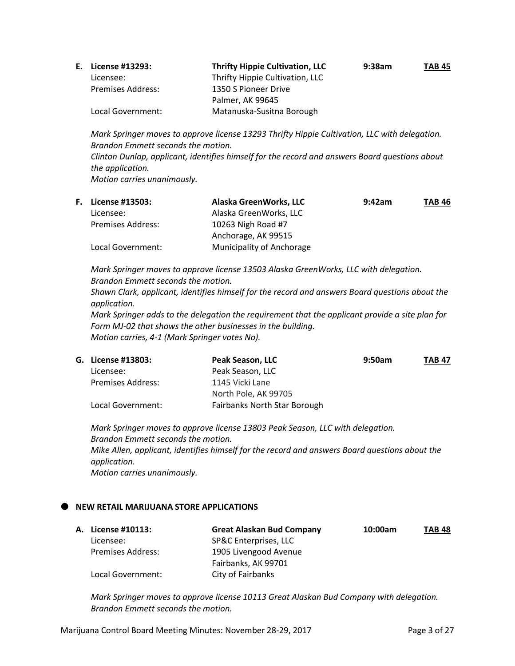| E. License #13293:       | <b>Thrifty Hippie Cultivation, LLC</b> | 9:38am | <b>TAB 45</b> |
|--------------------------|----------------------------------------|--------|---------------|
| Licensee:                | Thrifty Hippie Cultivation, LLC        |        |               |
| <b>Premises Address:</b> | 1350 S Pioneer Drive                   |        |               |
|                          | Palmer, AK 99645                       |        |               |
| Local Government:        | Matanuska-Susitna Borough              |        |               |

*Mark Springer moves to approve license 13293 Thrifty Hippie Cultivation, LLC with delegation. Brandon Emmett seconds the motion. Clinton Dunlap, applicant, identifies himself for the record and answers Board questions about the application. Motion carries unanimously.*

| <b>F.</b> License #13503: | Alaska GreenWorks, LLC    | 9:42am | <b>TAB 46</b> |
|---------------------------|---------------------------|--------|---------------|
| Licensee:                 | Alaska GreenWorks, LLC    |        |               |
| <b>Premises Address:</b>  | 10263 Nigh Road #7        |        |               |
|                           | Anchorage, AK 99515       |        |               |
| Local Government:         | Municipality of Anchorage |        |               |

*Mark Springer moves to approve license 13503 Alaska GreenWorks, LLC with delegation. Brandon Emmett seconds the motion.*

*Shawn Clark, applicant, identifies himself for the record and answers Board questions about the application.*

*Mark Springer adds to the delegation the requirement that the applicant provide a site plan for Form MJ-02 that shows the other businesses in the building. Motion carries, 4-1 (Mark Springer votes No).*

| G. License #13803: | Peak Season, LLC             | 9:50am | <b>TAB 47</b> |
|--------------------|------------------------------|--------|---------------|
| Licensee:          | Peak Season, LLC             |        |               |
| Premises Address:  | 1145 Vicki Lane              |        |               |
|                    | North Pole, AK 99705         |        |               |
| Local Government:  | Fairbanks North Star Borough |        |               |

*Mark Springer moves to approve license 13803 Peak Season, LLC with delegation. Brandon Emmett seconds the motion. Mike Allen, applicant, identifies himself for the record and answers Board questions about the application. Motion carries unanimously.*

### **NEW RETAIL MARIJUANA STORE APPLICATIONS**

|                   | <b>Great Alaskan Bud Company</b> | 10:00am | <b>TAB 48</b> |
|-------------------|----------------------------------|---------|---------------|
| Licensee:         | SP&C Enterprises, LLC            |         |               |
| Premises Address: | 1905 Livengood Avenue            |         |               |
|                   | Fairbanks, AK 99701              |         |               |
| Local Government: | City of Fairbanks                |         |               |
|                   | <b>A. License #10113:</b>        |         |               |

*Mark Springer moves to approve license 10113 Great Alaskan Bud Company with delegation. Brandon Emmett seconds the motion.*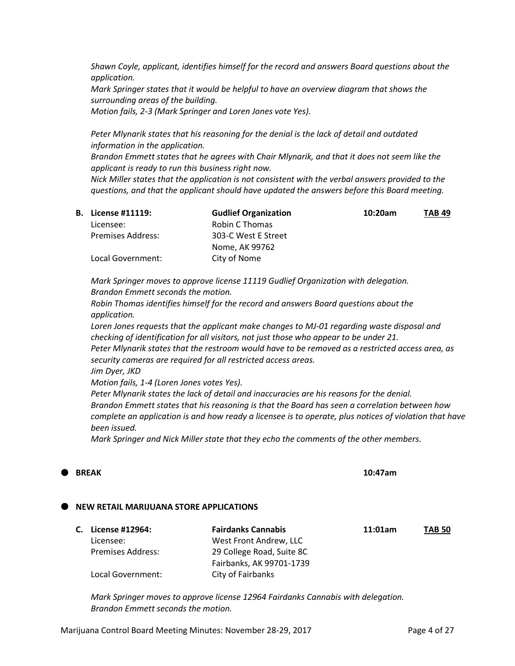*Shawn Coyle, applicant, identifies himself for the record and answers Board questions about the application.*

*Mark Springer states that it would be helpful to have an overview diagram that shows the surrounding areas of the building.*

*Motion fails, 2-3 (Mark Springer and Loren Jones vote Yes).*

*Peter Mlynarik states that his reasoning for the denial is the lack of detail and outdated information in the application.*

*Brandon Emmett states that he agrees with Chair Mlynarik, and that it does not seem like the applicant is ready to run this business right now.*

*Nick Miller states that the application is not consistent with the verbal answers provided to the questions, and that the applicant should have updated the answers before this Board meeting.*

| <b>B.</b> License #11119: | <b>Gudlief Organization</b> | 10:20am | <b>TAB 49</b> |
|---------------------------|-----------------------------|---------|---------------|
| Licensee:                 | Robin C Thomas              |         |               |
| Premises Address:         | 303-C West E Street         |         |               |
|                           | Nome, AK 99762              |         |               |
| Local Government:         | City of Nome                |         |               |

*Mark Springer moves to approve license 11119 Gudlief Organization with delegation. Brandon Emmett seconds the motion.*

*Robin Thomas identifies himself for the record and answers Board questions about the application.*

*Loren Jones requests that the applicant make changes to MJ-01 regarding waste disposal and checking of identification for all visitors, not just those who appear to be under 21. Peter Mlynarik states that the restroom would have to be removed as a restricted access area, as security cameras are required for all restricted access areas.*

*Jim Dyer, JKD*

*Motion fails, 1-4 (Loren Jones votes Yes).*

*Peter Mlynarik states the lack of detail and inaccuracies are his reasons for the denial. Brandon Emmett states that his reasoning is that the Board has seen a correlation between how complete an application is and how ready a licensee is to operate, plus notices of violation that have been issued.*

*Mark Springer and Nick Miller state that they echo the comments of the other members.*

## **BREAK 10:47am**

### **NEW RETAIL MARIJUANA STORE APPLICATIONS**

| C. License #12964:       | <b>Fairdanks Cannabis</b> | 11:01am | <b>TAB 50</b> |
|--------------------------|---------------------------|---------|---------------|
| Licensee:                | West Front Andrew, LLC    |         |               |
| <b>Premises Address:</b> | 29 College Road, Suite 8C |         |               |
|                          | Fairbanks, AK 99701-1739  |         |               |
| Local Government:        | City of Fairbanks         |         |               |

*Mark Springer moves to approve license 12964 Fairdanks Cannabis with delegation. Brandon Emmett seconds the motion.*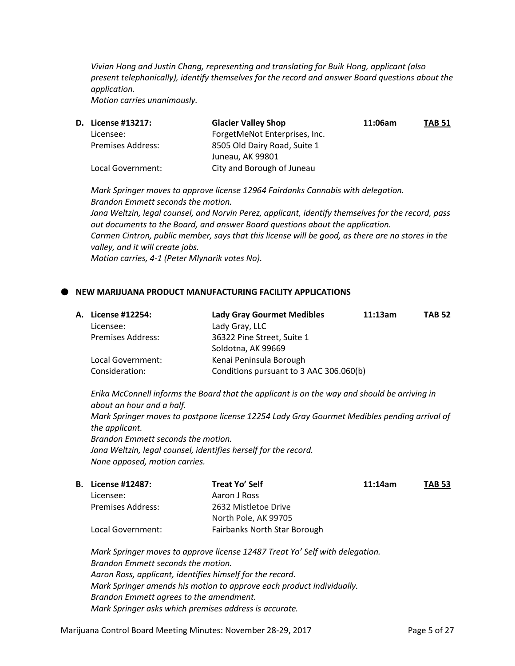*Vivian Hong and Justin Chang, representing and translating for Buik Hong, applicant (also present telephonically), identify themselves for the record and answer Board questions about the application.*

*Motion carries unanimously.* 

| <b>D.</b> License #13217: | <b>Glacier Valley Shop</b>    | 11:06am | <b>TAB 51</b> |
|---------------------------|-------------------------------|---------|---------------|
| Licensee:                 | ForgetMeNot Enterprises, Inc. |         |               |
| <b>Premises Address:</b>  | 8505 Old Dairy Road, Suite 1  |         |               |
|                           | Juneau, AK 99801              |         |               |
| Local Government:         | City and Borough of Juneau    |         |               |

*Mark Springer moves to approve license 12964 Fairdanks Cannabis with delegation. Brandon Emmett seconds the motion.*

*Jana Weltzin, legal counsel, and Norvin Perez, applicant, identify themselves for the record, pass out documents to the Board, and answer Board questions about the application. Carmen Cintron, public member, says that this license will be good, as there are no stores in the valley, and it will create jobs. Motion carries, 4-1 (Peter Mlynarik votes No).* 

#### **NEW MARIJUANA PRODUCT MANUFACTURING FACILITY APPLICATIONS**

| A. License #12254:       | <b>Lady Gray Gourmet Medibles</b>       | 11:13am | <b>TAB 52</b> |
|--------------------------|-----------------------------------------|---------|---------------|
| Licensee:                | Lady Gray, LLC                          |         |               |
| <b>Premises Address:</b> | 36322 Pine Street, Suite 1              |         |               |
|                          | Soldotna, AK 99669                      |         |               |
| Local Government:        | Kenai Peninsula Borough                 |         |               |
| Consideration:           | Conditions pursuant to 3 AAC 306.060(b) |         |               |
|                          |                                         |         |               |

*Erika McConnell informs the Board that the applicant is on the way and should be arriving in about an hour and a half. Mark Springer moves to postpone license 12254 Lady Gray Gourmet Medibles pending arrival of the applicant. Brandon Emmett seconds the motion. Jana Weltzin, legal counsel, identifies herself for the record. None opposed, motion carries.* 

|                   | Treat Yo' Self               | 11:14am | <b>TAB 53</b> |
|-------------------|------------------------------|---------|---------------|
| Licensee:         | Aaron J Ross                 |         |               |
| Premises Address: | 2632 Mistletoe Drive         |         |               |
|                   | North Pole, AK 99705         |         |               |
| Local Government: | Fairbanks North Star Borough |         |               |
|                   | <b>B.</b> License #12487:    |         |               |

*Mark Springer moves to approve license 12487 Treat Yo' Self with delegation. Brandon Emmett seconds the motion. Aaron Ross, applicant, identifies himself for the record. Mark Springer amends his motion to approve each product individually. Brandon Emmett agrees to the amendment. Mark Springer asks which premises address is accurate.*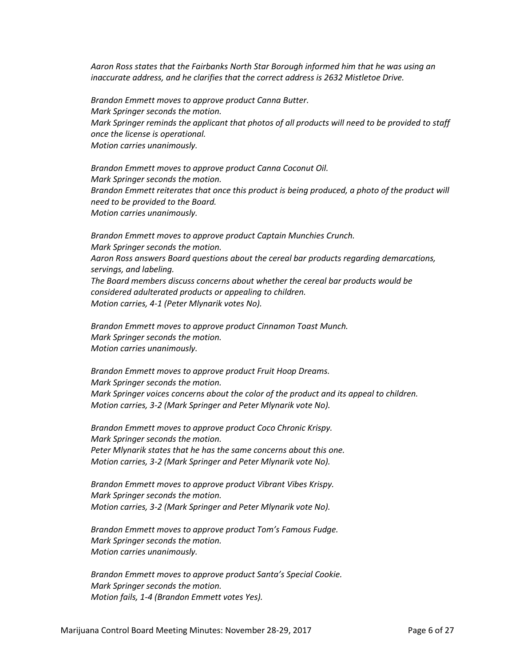*Aaron Ross states that the Fairbanks North Star Borough informed him that he was using an inaccurate address, and he clarifies that the correct address is 2632 Mistletoe Drive.*

*Brandon Emmett moves to approve product Canna Butter. Mark Springer seconds the motion. Mark Springer reminds the applicant that photos of all products will need to be provided to staff once the license is operational. Motion carries unanimously.*

*Brandon Emmett moves to approve product Canna Coconut Oil. Mark Springer seconds the motion. Brandon Emmett reiterates that once this product is being produced, a photo of the product will need to be provided to the Board. Motion carries unanimously.*

*Brandon Emmett moves to approve product Captain Munchies Crunch. Mark Springer seconds the motion. Aaron Ross answers Board questions about the cereal bar products regarding demarcations, servings, and labeling. The Board members discuss concerns about whether the cereal bar products would be considered adulterated products or appealing to children. Motion carries, 4-1 (Peter Mlynarik votes No).*

*Brandon Emmett moves to approve product Cinnamon Toast Munch. Mark Springer seconds the motion. Motion carries unanimously.*

*Brandon Emmett moves to approve product Fruit Hoop Dreams. Mark Springer seconds the motion. Mark Springer voices concerns about the color of the product and its appeal to children. Motion carries, 3-2 (Mark Springer and Peter Mlynarik vote No).*

*Brandon Emmett moves to approve product Coco Chronic Krispy. Mark Springer seconds the motion. Peter Mlynarik states that he has the same concerns about this one. Motion carries, 3-2 (Mark Springer and Peter Mlynarik vote No).*

*Brandon Emmett moves to approve product Vibrant Vibes Krispy. Mark Springer seconds the motion. Motion carries, 3-2 (Mark Springer and Peter Mlynarik vote No).*

*Brandon Emmett moves to approve product Tom's Famous Fudge. Mark Springer seconds the motion. Motion carries unanimously.*

*Brandon Emmett moves to approve product Santa's Special Cookie. Mark Springer seconds the motion. Motion fails, 1-4 (Brandon Emmett votes Yes).*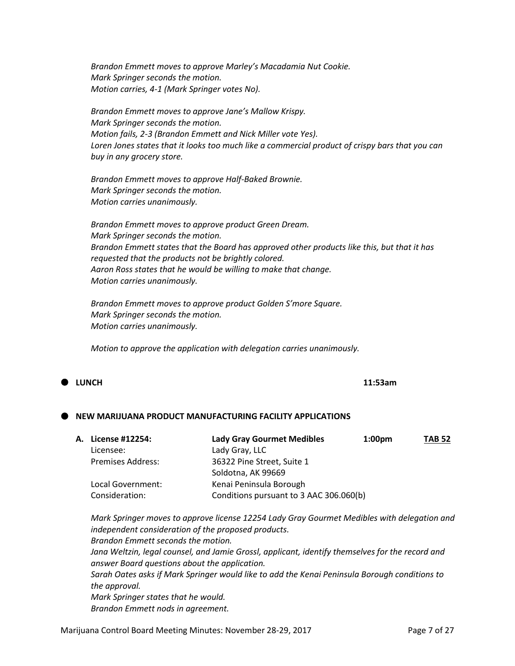*Brandon Emmett moves to approve Marley's Macadamia Nut Cookie. Mark Springer seconds the motion. Motion carries, 4-1 (Mark Springer votes No).*

*Brandon Emmett moves to approve Jane's Mallow Krispy. Mark Springer seconds the motion. Motion fails, 2-3 (Brandon Emmett and Nick Miller vote Yes). Loren Jones states that it looks too much like a commercial product of crispy bars that you can buy in any grocery store.*

*Brandon Emmett moves to approve Half-Baked Brownie. Mark Springer seconds the motion. Motion carries unanimously.*

*Brandon Emmett moves to approve product Green Dream. Mark Springer seconds the motion. Brandon Emmett states that the Board has approved other products like this, but that it has requested that the products not be brightly colored. Aaron Ross states that he would be willing to make that change. Motion carries unanimously.*

*Brandon Emmett moves to approve product Golden S'more Square. Mark Springer seconds the motion. Motion carries unanimously.*

*Motion to approve the application with delegation carries unanimously.* 

## **LUNCH 11:53am**

### **NEW MARIJUANA PRODUCT MANUFACTURING FACILITY APPLICATIONS**

| А. | License #12254:          | <b>Lady Gray Gourmet Medibles</b>       | 1:00 <sub>pm</sub> | <b>TAB 52</b> |
|----|--------------------------|-----------------------------------------|--------------------|---------------|
|    | Licensee:                | Lady Gray, LLC                          |                    |               |
|    | <b>Premises Address:</b> | 36322 Pine Street, Suite 1              |                    |               |
|    |                          | Soldotna, AK 99669                      |                    |               |
|    | Local Government:        | Kenai Peninsula Borough                 |                    |               |
|    | Consideration:           | Conditions pursuant to 3 AAC 306.060(b) |                    |               |
|    |                          |                                         |                    |               |

*Mark Springer moves to approve license 12254 Lady Gray Gourmet Medibles with delegation and independent consideration of the proposed products. Brandon Emmett seconds the motion. Jana Weltzin, legal counsel, and Jamie Grossl, applicant, identify themselves for the record and answer Board questions about the application. Sarah Oates asks if Mark Springer would like to add the Kenai Peninsula Borough conditions to the approval. Mark Springer states that he would. Brandon Emmett nods in agreement.*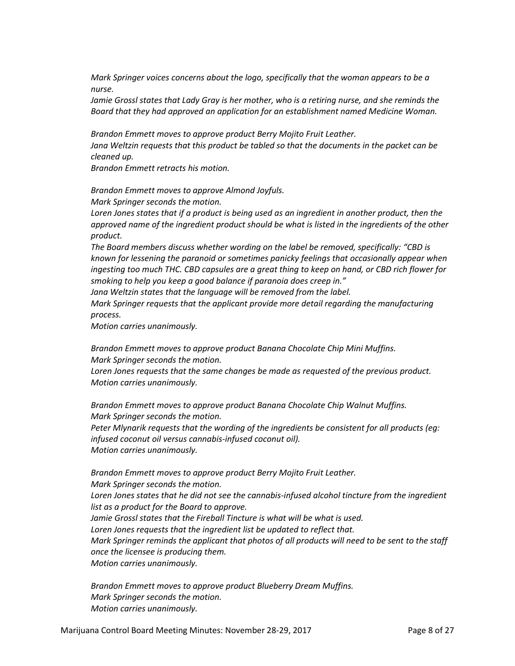*Mark Springer voices concerns about the logo, specifically that the woman appears to be a nurse.*

Jamie Grossl states that Lady Gray is her mother, who is a retiring nurse, and she reminds the *Board that they had approved an application for an establishment named Medicine Woman.*

*Brandon Emmett moves to approve product Berry Mojito Fruit Leather. Jana Weltzin requests that this product be tabled so that the documents in the packet can be cleaned up.*

*Brandon Emmett retracts his motion.*

*Brandon Emmett moves to approve Almond Joyfuls.*

*Mark Springer seconds the motion.*

Loren Jones states that if a product is being used as an ingredient in another product, then the *approved name of the ingredient product should be what is listed in the ingredients of the other product.*

*The Board members discuss whether wording on the label be removed, specifically: "CBD is known for lessening the paranoid or sometimes panicky feelings that occasionally appear when ingesting too much THC. CBD capsules are a great thing to keep on hand, or CBD rich flower for smoking to help you keep a good balance if paranoia does creep in."*

*Jana Weltzin states that the language will be removed from the label.*

*Mark Springer requests that the applicant provide more detail regarding the manufacturing process.*

*Motion carries unanimously.* 

*Brandon Emmett moves to approve product Banana Chocolate Chip Mini Muffins. Mark Springer seconds the motion.*

*Loren Jones requests that the same changes be made as requested of the previous product. Motion carries unanimously.*

*Brandon Emmett moves to approve product Banana Chocolate Chip Walnut Muffins. Mark Springer seconds the motion.*

*Peter Mlynarik requests that the wording of the ingredients be consistent for all products (eg: infused coconut oil versus cannabis-infused coconut oil). Motion carries unanimously.* 

*Brandon Emmett moves to approve product Berry Mojito Fruit Leather. Mark Springer seconds the motion.* Loren Jones states that he did not see the cannabis-infused alcohol tincture from the ingredient *list as a product for the Board to approve. Jamie Grossl states that the Fireball Tincture is what will be what is used. Loren Jones requests that the ingredient list be updated to reflect that. Mark Springer reminds the applicant that photos of all products will need to be sent to the staff once the licensee is producing them. Motion carries unanimously.*

*Brandon Emmett moves to approve product Blueberry Dream Muffins. Mark Springer seconds the motion. Motion carries unanimously.*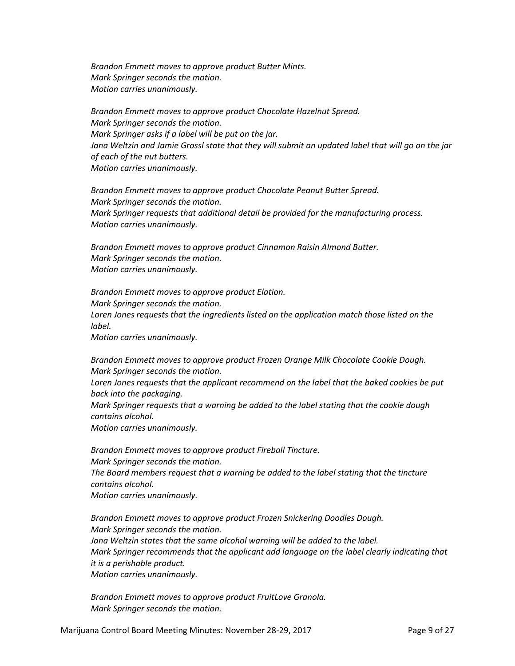*Brandon Emmett moves to approve product Butter Mints. Mark Springer seconds the motion. Motion carries unanimously.*

*Brandon Emmett moves to approve product Chocolate Hazelnut Spread. Mark Springer seconds the motion. Mark Springer asks if a label will be put on the jar. Jana Weltzin and Jamie Grossl state that they will submit an updated label that will go on the jar of each of the nut butters. Motion carries unanimously.*

*Brandon Emmett moves to approve product Chocolate Peanut Butter Spread. Mark Springer seconds the motion. Mark Springer requests that additional detail be provided for the manufacturing process. Motion carries unanimously.*

*Brandon Emmett moves to approve product Cinnamon Raisin Almond Butter. Mark Springer seconds the motion. Motion carries unanimously.*

*Brandon Emmett moves to approve product Elation. Mark Springer seconds the motion. Loren Jones requests that the ingredients listed on the application match those listed on the label.*

*Motion carries unanimously.*

*Brandon Emmett moves to approve product Frozen Orange Milk Chocolate Cookie Dough. Mark Springer seconds the motion.*

*Loren Jones requests that the applicant recommend on the label that the baked cookies be put back into the packaging.*

*Mark Springer requests that a warning be added to the label stating that the cookie dough contains alcohol.*

*Motion carries unanimously.*

*Brandon Emmett moves to approve product Fireball Tincture. Mark Springer seconds the motion. The Board members request that a warning be added to the label stating that the tincture contains alcohol. Motion carries unanimously.*

*Brandon Emmett moves to approve product Frozen Snickering Doodles Dough. Mark Springer seconds the motion. Jana Weltzin states that the same alcohol warning will be added to the label. Mark Springer recommends that the applicant add language on the label clearly indicating that it is a perishable product. Motion carries unanimously.*

*Brandon Emmett moves to approve product FruitLove Granola. Mark Springer seconds the motion.*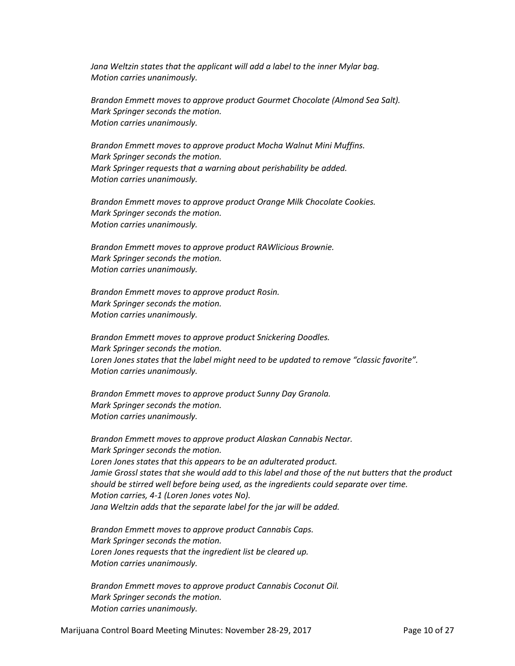*Jana Weltzin states that the applicant will add a label to the inner Mylar bag. Motion carries unanimously.*

*Brandon Emmett moves to approve product Gourmet Chocolate (Almond Sea Salt). Mark Springer seconds the motion. Motion carries unanimously.*

*Brandon Emmett moves to approve product Mocha Walnut Mini Muffins. Mark Springer seconds the motion. Mark Springer requests that a warning about perishability be added. Motion carries unanimously.*

*Brandon Emmett moves to approve product Orange Milk Chocolate Cookies. Mark Springer seconds the motion. Motion carries unanimously.*

*Brandon Emmett moves to approve product RAWlicious Brownie. Mark Springer seconds the motion. Motion carries unanimously.*

*Brandon Emmett moves to approve product Rosin. Mark Springer seconds the motion. Motion carries unanimously.*

*Brandon Emmett moves to approve product Snickering Doodles. Mark Springer seconds the motion. Loren Jones states that the label might need to be updated to remove "classic favorite". Motion carries unanimously.*

*Brandon Emmett moves to approve product Sunny Day Granola. Mark Springer seconds the motion. Motion carries unanimously.*

*Brandon Emmett moves to approve product Alaskan Cannabis Nectar. Mark Springer seconds the motion. Loren Jones states that this appears to be an adulterated product. Jamie Grossl states that she would add to this label and those of the nut butters that the product should be stirred well before being used, as the ingredients could separate over time. Motion carries, 4-1 (Loren Jones votes No). Jana Weltzin adds that the separate label for the jar will be added.*

*Brandon Emmett moves to approve product Cannabis Caps. Mark Springer seconds the motion. Loren Jones requests that the ingredient list be cleared up. Motion carries unanimously.*

*Brandon Emmett moves to approve product Cannabis Coconut Oil. Mark Springer seconds the motion. Motion carries unanimously.*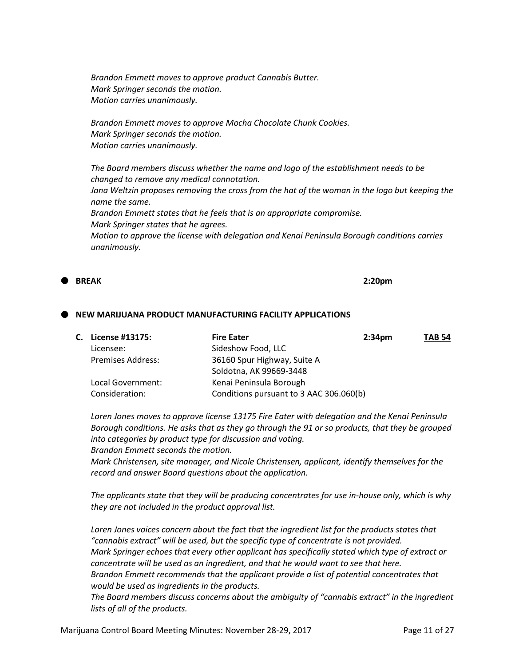*Brandon Emmett moves to approve product Cannabis Butter. Mark Springer seconds the motion. Motion carries unanimously.*

*Brandon Emmett moves to approve Mocha Chocolate Chunk Cookies. Mark Springer seconds the motion. Motion carries unanimously.*

*The Board members discuss whether the name and logo of the establishment needs to be changed to remove any medical connotation. Jana Weltzin proposes removing the cross from the hat of the woman in the logo but keeping the name the same. Brandon Emmett states that he feels that is an appropriate compromise. Mark Springer states that he agrees. Motion to approve the license with delegation and Kenai Peninsula Borough conditions carries unanimously.*

**BREAK 2:20pm**

#### **NEW MARIJUANA PRODUCT MANUFACTURING FACILITY APPLICATIONS**

| C. License #13175:       | <b>Fire Eater</b><br>2:34 <sub>pm</sub> | <b>TAB 54</b> |
|--------------------------|-----------------------------------------|---------------|
| Licensee:                | Sideshow Food, LLC                      |               |
| <b>Premises Address:</b> | 36160 Spur Highway, Suite A             |               |
|                          | Soldotna, AK 99669-3448                 |               |
| Local Government:        | Kenai Peninsula Borough                 |               |
| Consideration:           | Conditions pursuant to 3 AAC 306.060(b) |               |

*Loren Jones moves to approve license 13175 Fire Eater with delegation and the Kenai Peninsula Borough conditions. He asks that as they go through the 91 or so products, that they be grouped into categories by product type for discussion and voting. Brandon Emmett seconds the motion.*

*Mark Christensen, site manager, and Nicole Christensen, applicant, identify themselves for the record and answer Board questions about the application.*

*The applicants state that they will be producing concentrates for use in-house only, which is why they are not included in the product approval list.*

Loren Jones voices concern about the fact that the ingredient list for the products states that *"cannabis extract" will be used, but the specific type of concentrate is not provided. Mark Springer echoes that every other applicant has specifically stated which type of extract or concentrate will be used as an ingredient, and that he would want to see that here. Brandon Emmett recommends that the applicant provide a list of potential concentrates that would be used as ingredients in the products.*

*The Board members discuss concerns about the ambiguity of "cannabis extract" in the ingredient lists of all of the products.*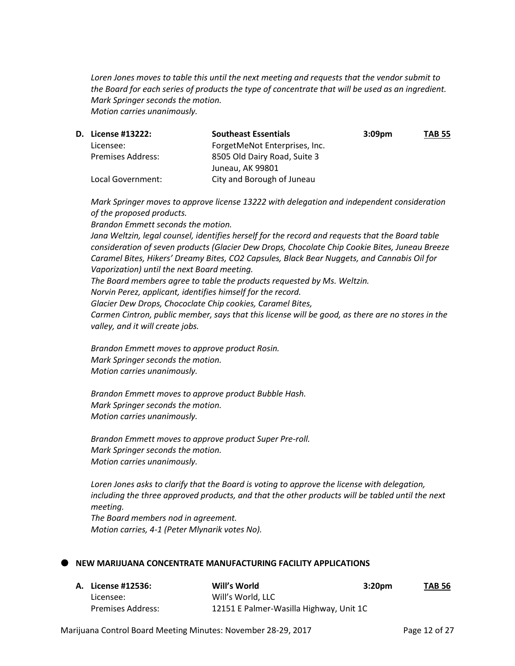*Loren Jones moves to table this until the next meeting and requests that the vendor submit to the Board for each series of products the type of concentrate that will be used as an ingredient. Mark Springer seconds the motion. Motion carries unanimously.* 

| <b>D.</b> License #13222: | <b>Southeast Essentials</b>   | 3:09 <sub>pm</sub> | <b>TAB 55</b> |
|---------------------------|-------------------------------|--------------------|---------------|
| Licensee:                 | ForgetMeNot Enterprises, Inc. |                    |               |
| <b>Premises Address:</b>  | 8505 Old Dairy Road, Suite 3  |                    |               |
|                           | Juneau, AK 99801              |                    |               |
| Local Government:         | City and Borough of Juneau    |                    |               |

*Mark Springer moves to approve license 13222 with delegation and independent consideration of the proposed products.*

*Brandon Emmett seconds the motion. Jana Weltzin, legal counsel, identifies herself for the record and requests that the Board table consideration of seven products (Glacier Dew Drops, Chocolate Chip Cookie Bites, Juneau Breeze Caramel Bites, Hikers' Dreamy Bites, CO2 Capsules, Black Bear Nuggets, and Cannabis Oil for Vaporization) until the next Board meeting. The Board members agree to table the products requested by Ms. Weltzin. Norvin Perez, applicant, identifies himself for the record. Glacier Dew Drops, Chococlate Chip cookies, Caramel Bites, Carmen Cintron, public member, says that this license will be good, as there are no stores in the valley, and it will create jobs.*

*Brandon Emmett moves to approve product Rosin. Mark Springer seconds the motion. Motion carries unanimously.*

*Brandon Emmett moves to approve product Bubble Hash. Mark Springer seconds the motion. Motion carries unanimously.*

*Brandon Emmett moves to approve product Super Pre-roll. Mark Springer seconds the motion. Motion carries unanimously.*

*Loren Jones asks to clarify that the Board is voting to approve the license with delegation, including the three approved products, and that the other products will be tabled until the next meeting. The Board members nod in agreement. Motion carries, 4-1 (Peter Mlynarik votes No).*

#### **NEW MARIJUANA CONCENTRATE MANUFACTURING FACILITY APPLICATIONS**

| A. License #12536: | Will's World                            | 3:20 <sub>pm</sub> | <b>TAB 56</b> |
|--------------------|-----------------------------------------|--------------------|---------------|
| Licensee:          | Will's World, LLC                       |                    |               |
| Premises Address:  | 12151 E Palmer-Wasilla Highway, Unit 1C |                    |               |

Marijuana Control Board Meeting Minutes: November 28-29, 2017 Page 12 of 27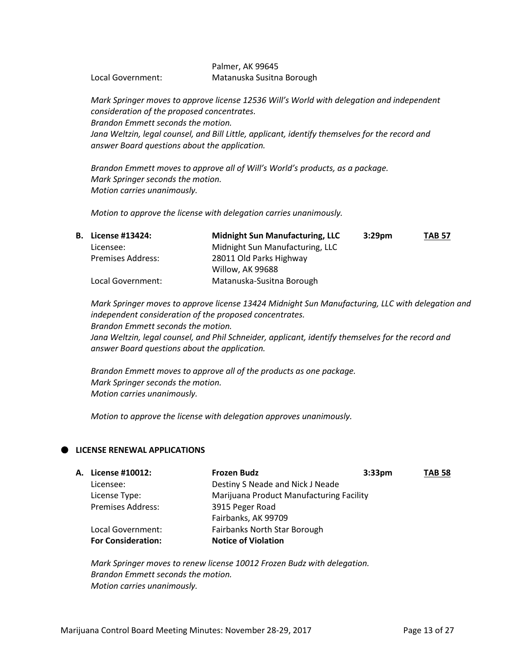#### Palmer, AK 99645 Local Government: Matanuska Susitna Borough

*Mark Springer moves to approve license 12536 Will's World with delegation and independent consideration of the proposed concentrates. Brandon Emmett seconds the motion. Jana Weltzin, legal counsel, and Bill Little, applicant, identify themselves for the record and answer Board questions about the application.*

*Brandon Emmett moves to approve all of Will's World's products, as a package. Mark Springer seconds the motion. Motion carries unanimously.*

*Motion to approve the license with delegation carries unanimously.* 

| <b>B.</b> License #13424: | <b>Midnight Sun Manufacturing, LLC</b> | 3:29 <sub>pm</sub> | <b>TAB 57</b> |
|---------------------------|----------------------------------------|--------------------|---------------|
| Licensee:                 | Midnight Sun Manufacturing, LLC        |                    |               |
| <b>Premises Address:</b>  | 28011 Old Parks Highway                |                    |               |
|                           | Willow, AK 99688                       |                    |               |
| Local Government:         | Matanuska-Susitna Borough              |                    |               |

*Mark Springer moves to approve license 13424 Midnight Sun Manufacturing, LLC with delegation and independent consideration of the proposed concentrates. Brandon Emmett seconds the motion. Jana Weltzin, legal counsel, and Phil Schneider, applicant, identify themselves for the record and* 

*answer Board questions about the application.*

*Brandon Emmett moves to approve all of the products as one package. Mark Springer seconds the motion. Motion carries unanimously.* 

*Motion to approve the license with delegation approves unanimously.*

## **LICENSE RENEWAL APPLICATIONS**

| <b>A. License #10012:</b> | <b>Frozen Budz</b><br>3:33 <sub>pm</sub> | <b>TAB 58</b> |
|---------------------------|------------------------------------------|---------------|
| Licensee:                 | Destiny S Neade and Nick J Neade         |               |
| License Type:             | Marijuana Product Manufacturing Facility |               |
| <b>Premises Address:</b>  | 3915 Peger Road                          |               |
|                           | Fairbanks, AK 99709                      |               |
| Local Government:         | Fairbanks North Star Borough             |               |
| <b>For Consideration:</b> | <b>Notice of Violation</b>               |               |
|                           |                                          |               |

*Mark Springer moves to renew license 10012 Frozen Budz with delegation. Brandon Emmett seconds the motion. Motion carries unanimously.*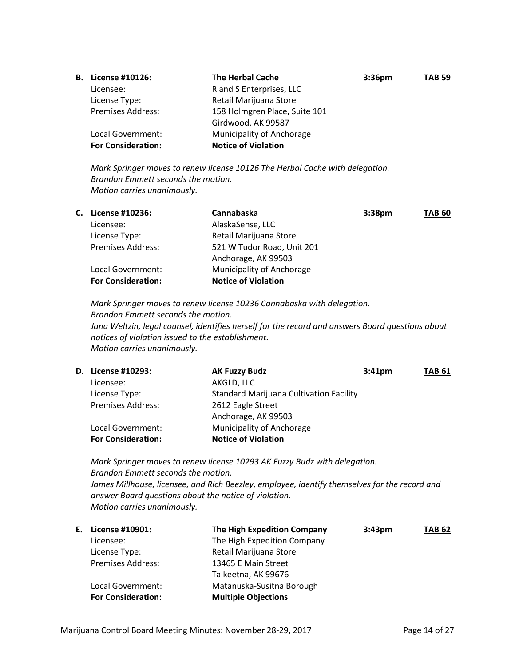| В. | License #10126:           | <b>The Herbal Cache</b>       | 3:36 <sub>pm</sub> | <b>TAB 59</b> |
|----|---------------------------|-------------------------------|--------------------|---------------|
|    | Licensee:                 | R and S Enterprises, LLC      |                    |               |
|    | License Type:             | Retail Marijuana Store        |                    |               |
|    | <b>Premises Address:</b>  | 158 Holmgren Place, Suite 101 |                    |               |
|    |                           | Girdwood, AK 99587            |                    |               |
|    | Local Government:         | Municipality of Anchorage     |                    |               |
|    | <b>For Consideration:</b> | <b>Notice of Violation</b>    |                    |               |

*Mark Springer moves to renew license 10126 The Herbal Cache with delegation. Brandon Emmett seconds the motion. Motion carries unanimously.* 

| С. | License #10236:           | Cannabaska                 | 3:38 <sub>pm</sub> | <b>TAB 60</b> |
|----|---------------------------|----------------------------|--------------------|---------------|
|    | Licensee:                 | AlaskaSense, LLC           |                    |               |
|    | License Type:             | Retail Marijuana Store     |                    |               |
|    | <b>Premises Address:</b>  | 521 W Tudor Road, Unit 201 |                    |               |
|    |                           | Anchorage, AK 99503        |                    |               |
|    | Local Government:         | Municipality of Anchorage  |                    |               |
|    | <b>For Consideration:</b> | <b>Notice of Violation</b> |                    |               |

*Mark Springer moves to renew license 10236 Cannabaska with delegation. Brandon Emmett seconds the motion. Jana Weltzin, legal counsel, identifies herself for the record and answers Board questions about notices of violation issued to the establishment. Motion carries unanimously.* 

| <b>D.</b> License #10293: | <b>AK Fuzzy Budz</b>                           | 3:41 <sub>pm</sub> | <b>TAB 61</b> |
|---------------------------|------------------------------------------------|--------------------|---------------|
| Licensee:                 | AKGLD, LLC                                     |                    |               |
| License Type:             | <b>Standard Marijuana Cultivation Facility</b> |                    |               |
| <b>Premises Address:</b>  | 2612 Eagle Street                              |                    |               |
|                           | Anchorage, AK 99503                            |                    |               |
| Local Government:         | Municipality of Anchorage                      |                    |               |
| <b>For Consideration:</b> | <b>Notice of Violation</b>                     |                    |               |
|                           |                                                |                    |               |

*Mark Springer moves to renew license 10293 AK Fuzzy Budz with delegation. Brandon Emmett seconds the motion. James Millhouse, licensee, and Rich Beezley, employee, identify themselves for the record and answer Board questions about the notice of violation. Motion carries unanimously.* 

| Е. | License #10901:           | The High Expedition Company | $3:43 \text{pm}$ | <b>TAB 62</b> |
|----|---------------------------|-----------------------------|------------------|---------------|
|    | Licensee:                 | The High Expedition Company |                  |               |
|    | License Type:             | Retail Marijuana Store      |                  |               |
|    | <b>Premises Address:</b>  | 13465 E Main Street         |                  |               |
|    |                           | Talkeetna, AK 99676         |                  |               |
|    | Local Government:         | Matanuska-Susitna Borough   |                  |               |
|    | <b>For Consideration:</b> | <b>Multiple Objections</b>  |                  |               |
|    |                           |                             |                  |               |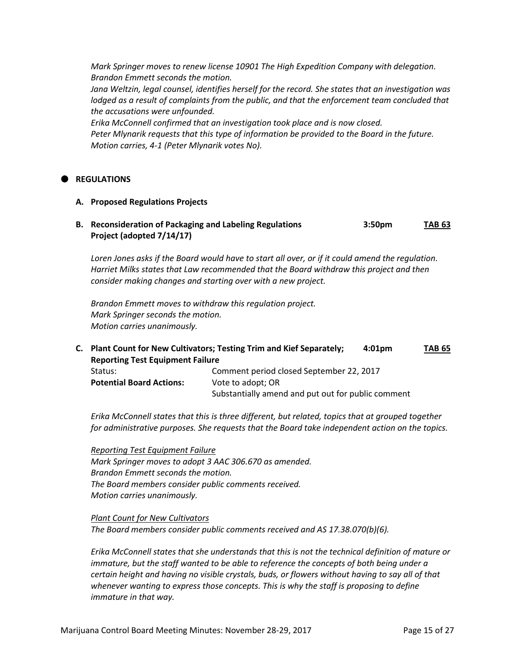*Mark Springer moves to renew license 10901 The High Expedition Company with delegation. Brandon Emmett seconds the motion.*

*Jana Weltzin, legal counsel, identifies herself for the record. She states that an investigation was lodged as a result of complaints from the public, and that the enforcement team concluded that the accusations were unfounded.*

*Erika McConnell confirmed that an investigation took place and is now closed. Peter Mlynarik requests that this type of information be provided to the Board in the future. Motion carries, 4-1 (Peter Mlynarik votes No).* 

### **REGULATIONS**

#### **A. Proposed Regulations Projects**

**B. Reconsideration of Packaging and Labeling Regulations 3:50pm TAB 63 Project (adopted 7/14/17)**

*Loren Jones asks if the Board would have to start all over, or if it could amend the regulation. Harriet Milks states that Law recommended that the Board withdraw this project and then consider making changes and starting over with a new project.*

*Brandon Emmett moves to withdraw this regulation project. Mark Springer seconds the motion. Motion carries unanimously.*

**C. Plant Count for New Cultivators; Testing Trim and Kief Separately; 4:01pm TAB 65 Reporting Test Equipment Failure** Status:Comment period closed September 22, 2017 **Potential Board Actions:** Vote to adopt; OR Substantially amend and put out for public comment

*Erika McConnell states that this is three different, but related, topics that at grouped together for administrative purposes. She requests that the Board take independent action on the topics.*

*Reporting Test Equipment Failure Mark Springer moves to adopt 3 AAC 306.670 as amended. Brandon Emmett seconds the motion. The Board members consider public comments received. Motion carries unanimously.*

*Plant Count for New Cultivators The Board members consider public comments received and AS 17.38.070(b)(6).*

*Erika McConnell states that she understands that this is not the technical definition of mature or immature, but the staff wanted to be able to reference the concepts of both being under a certain height and having no visible crystals, buds, or flowers without having to say all of that whenever wanting to express those concepts. This is why the staff is proposing to define immature in that way.*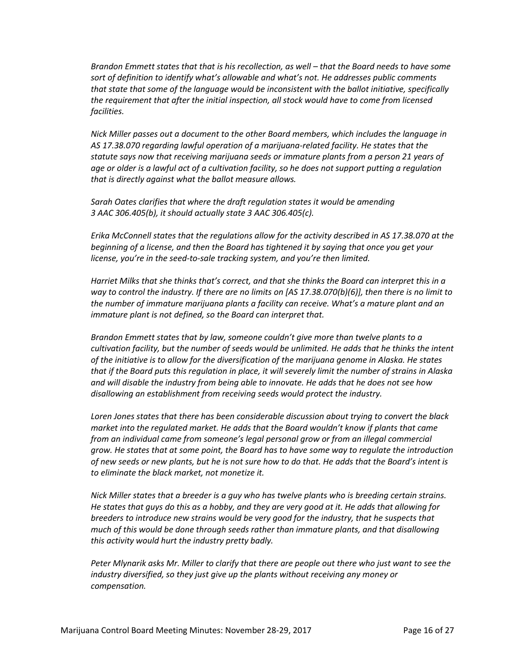*Brandon Emmett states that that is his recollection, as well – that the Board needs to have some sort of definition to identify what's allowable and what's not. He addresses public comments that state that some of the language would be inconsistent with the ballot initiative, specifically the requirement that after the initial inspection, all stock would have to come from licensed facilities.* 

*Nick Miller passes out a document to the other Board members, which includes the language in AS 17.38.070 regarding lawful operation of a marijuana-related facility. He states that the statute says now that receiving marijuana seeds or immature plants from a person 21 years of age or older is a lawful act of a cultivation facility, so he does not support putting a regulation that is directly against what the ballot measure allows.*

*Sarah Oates clarifies that where the draft regulation states it would be amending 3 AAC 306.405(b), it should actually state 3 AAC 306.405(c).*

*Erika McConnell states that the regulations allow for the activity described in AS 17.38.070 at the beginning of a license, and then the Board has tightened it by saying that once you get your license, you're in the seed-to-sale tracking system, and you're then limited.*

*Harriet Milks that she thinks that's correct, and that she thinks the Board can interpret this in a way to control the industry. If there are no limits on [AS 17.38.070(b)(6)], then there is no limit to the number of immature marijuana plants a facility can receive. What's a mature plant and an immature plant is not defined, so the Board can interpret that.*

*Brandon Emmett states that by law, someone couldn't give more than twelve plants to a cultivation facility, but the number of seeds would be unlimited. He adds that he thinks the intent of the initiative is to allow for the diversification of the marijuana genome in Alaska. He states that if the Board puts this regulation in place, it will severely limit the number of strains in Alaska and will disable the industry from being able to innovate. He adds that he does not see how disallowing an establishment from receiving seeds would protect the industry.*

*Loren Jones states that there has been considerable discussion about trying to convert the black market into the regulated market. He adds that the Board wouldn't know if plants that came from an individual came from someone's legal personal grow or from an illegal commercial grow. He states that at some point, the Board has to have some way to regulate the introduction of new seeds or new plants, but he is not sure how to do that. He adds that the Board's intent is to eliminate the black market, not monetize it.*

*Nick Miller states that a breeder is a guy who has twelve plants who is breeding certain strains. He states that guys do this as a hobby, and they are very good at it. He adds that allowing for breeders to introduce new strains would be very good for the industry, that he suspects that much of this would be done through seeds rather than immature plants, and that disallowing this activity would hurt the industry pretty badly.* 

*Peter Mlynarik asks Mr. Miller to clarify that there are people out there who just want to see the industry diversified, so they just give up the plants without receiving any money or compensation.*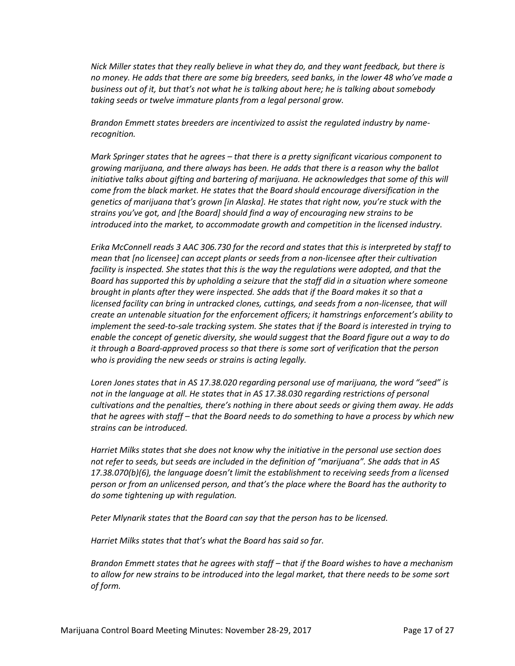*Nick Miller states that they really believe in what they do, and they want feedback, but there is no money. He adds that there are some big breeders, seed banks, in the lower 48 who've made a business out of it, but that's not what he is talking about here; he is talking about somebody taking seeds or twelve immature plants from a legal personal grow.*

*Brandon Emmett states breeders are incentivized to assist the regulated industry by namerecognition.*

*Mark Springer states that he agrees – that there is a pretty significant vicarious component to growing marijuana, and there always has been. He adds that there is a reason why the ballot initiative talks about gifting and bartering of marijuana. He acknowledges that some of this will come from the black market. He states that the Board should encourage diversification in the genetics of marijuana that's grown [in Alaska]. He states that right now, you're stuck with the strains you've got, and [the Board] should find a way of encouraging new strains to be introduced into the market, to accommodate growth and competition in the licensed industry.*

*Erika McConnell reads 3 AAC 306.730 for the record and states that this is interpreted by staff to mean that [no licensee] can accept plants or seeds from a non-licensee after their cultivation facility is inspected. She states that this is the way the regulations were adopted, and that the Board has supported this by upholding a seizure that the staff did in a situation where someone brought in plants after they were inspected. She adds that if the Board makes it so that a licensed facility can bring in untracked clones, cuttings, and seeds from a non-licensee, that will create an untenable situation for the enforcement officers; it hamstrings enforcement's ability to implement the seed-to-sale tracking system. She states that if the Board is interested in trying to enable the concept of genetic diversity, she would suggest that the Board figure out a way to do it through a Board-approved process so that there is some sort of verification that the person who is providing the new seeds or strains is acting legally.*

*Loren Jones states that in AS 17.38.020 regarding personal use of marijuana, the word "seed" is*  not in the language at all. He states that in AS 17.38.030 regarding restrictions of personal *cultivations and the penalties, there's nothing in there about seeds or giving them away. He adds that he agrees with staff – that the Board needs to do something to have a process by which new strains can be introduced.*

*Harriet Milks states that she does not know why the initiative in the personal use section does not refer to seeds, but seeds are included in the definition of "marijuana". She adds that in AS 17.38.070(b)(6), the language doesn't limit the establishment to receiving seeds from a licensed person or from an unlicensed person, and that's the place where the Board has the authority to do some tightening up with regulation.*

*Peter Mlynarik states that the Board can say that the person has to be licensed.*

*Harriet Milks states that that's what the Board has said so far.*

*Brandon Emmett states that he agrees with staff – that if the Board wishes to have a mechanism to allow for new strains to be introduced into the legal market, that there needs to be some sort of form.*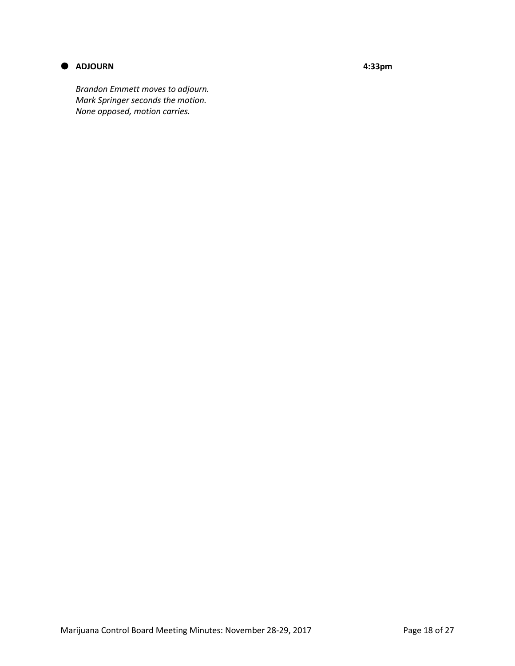

## **ADJOURN 4:33pm**

*Brandon Emmett moves to adjourn. Mark Springer seconds the motion. None opposed, motion carries.*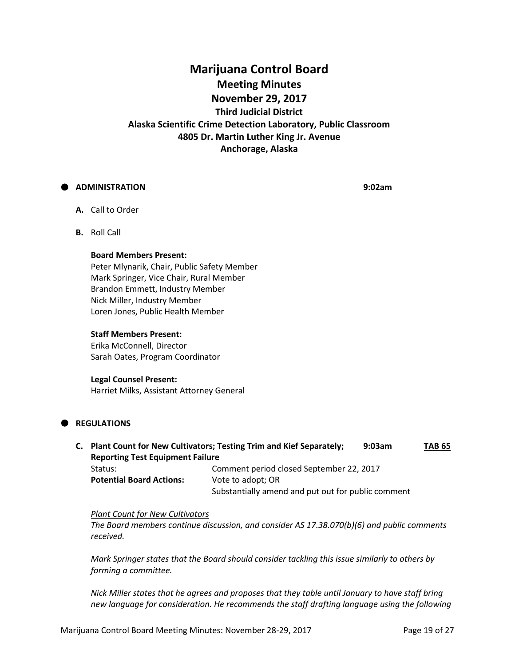# **Marijuana Control Board Meeting Minutes November 29, 2017 Third Judicial District Alaska Scientific Crime Detection Laboratory, Public Classroom 4805 Dr. Martin Luther King Jr. Avenue Anchorage, Alaska**

### **ADMINISTRATION 9:02am**

- **A.** Call to Order
- **B.** Roll Call

#### **Board Members Present:**

Peter Mlynarik, Chair, Public Safety Member Mark Springer, Vice Chair, Rural Member Brandon Emmett, Industry Member Nick Miller, Industry Member Loren Jones, Public Health Member

#### **Staff Members Present:**

Erika McConnell, Director Sarah Oates, Program Coordinator

#### **Legal Counsel Present:**

Harriet Milks, Assistant Attorney General

## **REGULATIONS**

**C. Plant Count for New Cultivators; Testing Trim and Kief Separately; 9:03am TAB 65 Reporting Test Equipment Failure** Status:Comment period closed September 22, 2017 **Potential Board Actions:** Vote to adopt; OR Substantially amend and put out for public comment

### *Plant Count for New Cultivators*

*The Board members continue discussion, and consider AS 17.38.070(b)(6) and public comments received.*

*Mark Springer states that the Board should consider tackling this issue similarly to others by forming a committee.*

*Nick Miller states that he agrees and proposes that they table until January to have staff bring new language for consideration. He recommends the staff drafting language using the following*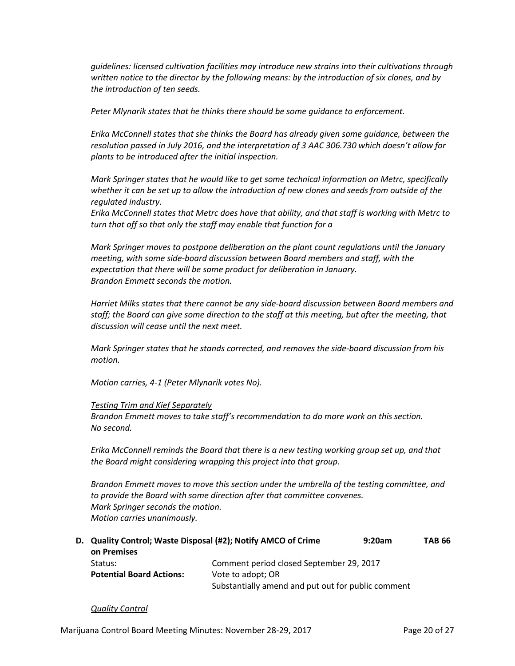*guidelines: licensed cultivation facilities may introduce new strains into their cultivations through written notice to the director by the following means: by the introduction of six clones, and by the introduction of ten seeds.*

*Peter Mlynarik states that he thinks there should be some guidance to enforcement.*

*Erika McConnell states that she thinks the Board has already given some guidance, between the resolution passed in July 2016, and the interpretation of 3 AAC 306.730 which doesn't allow for plants to be introduced after the initial inspection.*

*Mark Springer states that he would like to get some technical information on Metrc, specifically whether it can be set up to allow the introduction of new clones and seeds from outside of the regulated industry.*

*Erika McConnell states that Metrc does have that ability, and that staff is working with Metrc to turn that off so that only the staff may enable that function for a*

*Mark Springer moves to postpone deliberation on the plant count regulations until the January meeting, with some side-board discussion between Board members and staff, with the expectation that there will be some product for deliberation in January. Brandon Emmett seconds the motion.*

*Harriet Milks states that there cannot be any side-board discussion between Board members and staff; the Board can give some direction to the staff at this meeting, but after the meeting, that discussion will cease until the next meet.*

*Mark Springer states that he stands corrected, and removes the side-board discussion from his motion.*

*Motion carries, 4-1 (Peter Mlynarik votes No).*

#### *Testing Trim and Kief Separately*

*Brandon Emmett moves to take staff's recommendation to do more work on this section. No second.*

*Erika McConnell reminds the Board that there is a new testing working group set up, and that the Board might considering wrapping this project into that group.*

*Brandon Emmett moves to move this section under the umbrella of the testing committee, and to provide the Board with some direction after that committee convenes. Mark Springer seconds the motion. Motion carries unanimously.*

**D. Quality Control; Waste Disposal (#2); Notify AMCO of Crime 9:20am TAB 66 on Premises** Status: Comment period closed September 29, 2017 **Potential Board Actions:** Vote to adopt; OR Substantially amend and put out for public comment

#### *Quality Control*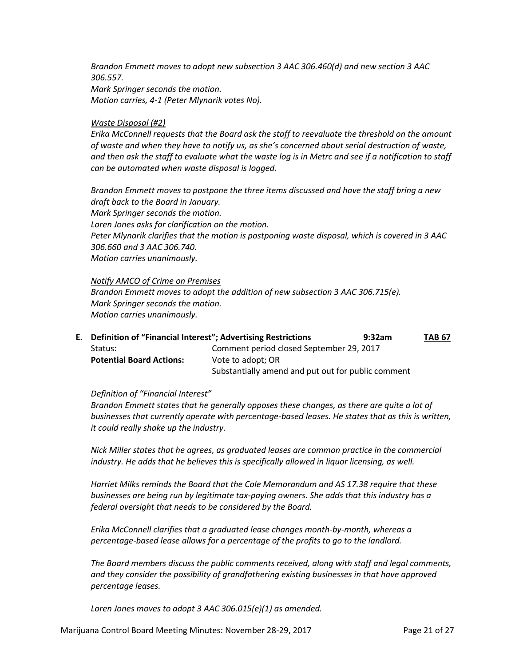*Brandon Emmett moves to adopt new subsection 3 AAC 306.460(d) and new section 3 AAC 306.557. Mark Springer seconds the motion. Motion carries, 4-1 (Peter Mlynarik votes No).*

#### *Waste Disposal (#2)*

*Erika McConnell requests that the Board ask the staff to reevaluate the threshold on the amount of waste and when they have to notify us, as she's concerned about serial destruction of waste, and then ask the staff to evaluate what the waste log is in Metrc and see if a notification to staff can be automated when waste disposal is logged.*

*Brandon Emmett moves to postpone the three items discussed and have the staff bring a new draft back to the Board in January. Mark Springer seconds the motion. Loren Jones asks for clarification on the motion. Peter Mlynarik clarifies that the motion is postponing waste disposal, which is covered in 3 AAC 306.660 and 3 AAC 306.740. Motion carries unanimously.*

*Notify AMCO of Crime on Premises Brandon Emmett moves to adopt the addition of new subsection 3 AAC 306.715(e). Mark Springer seconds the motion. Motion carries unanimously.*

**E. Definition of "Financial Interest"; Advertising Restrictions 9:32am TAB 67** Status:Comment period closed September 29, 2017 **Potential Board Actions:** Vote to adopt; OR Substantially amend and put out for public comment

#### *Definition of "Financial Interest"*

*Brandon Emmett states that he generally opposes these changes, as there are quite a lot of businesses that currently operate with percentage-based leases. He states that as this is written, it could really shake up the industry.*

*Nick Miller states that he agrees, as graduated leases are common practice in the commercial industry. He adds that he believes this is specifically allowed in liquor licensing, as well.*

*Harriet Milks reminds the Board that the Cole Memorandum and AS 17.38 require that these businesses are being run by legitimate tax-paying owners. She adds that this industry has a federal oversight that needs to be considered by the Board.*

*Erika McConnell clarifies that a graduated lease changes month-by-month, whereas a percentage-based lease allows for a percentage of the profits to go to the landlord.*

*The Board members discuss the public comments received, along with staff and legal comments, and they consider the possibility of grandfathering existing businesses in that have approved percentage leases.*

*Loren Jones moves to adopt 3 AAC 306.015(e)(1) as amended.*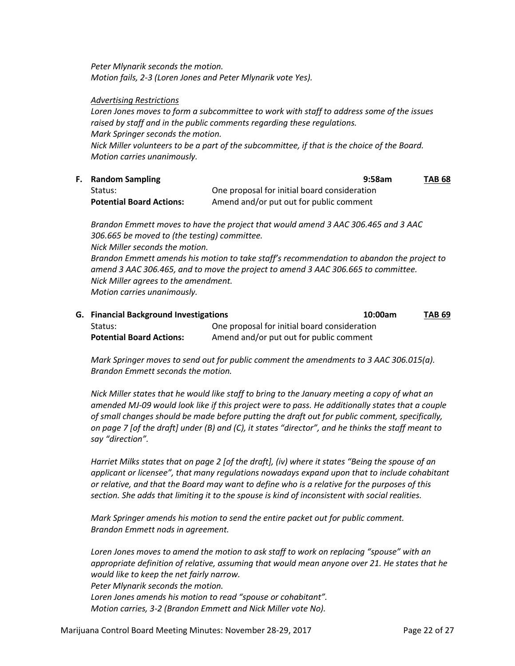*Peter Mlynarik seconds the motion. Motion fails, 2-3 (Loren Jones and Peter Mlynarik vote Yes).*

#### *Advertising Restrictions*

*Loren Jones moves to form a subcommittee to work with staff to address some of the issues raised by staff and in the public comments regarding these regulations. Mark Springer seconds the motion. Nick Miller volunteers to be a part of the subcommittee, if that is the choice of the Board. Motion carries unanimously.*

| <b>F.</b> Random Sampling       | 9:58am                                       | <b>TAB 68</b> |
|---------------------------------|----------------------------------------------|---------------|
| Status:                         | One proposal for initial board consideration |               |
| <b>Potential Board Actions:</b> | Amend and/or put out for public comment      |               |

*Brandon Emmett moves to have the project that would amend 3 AAC 306.465 and 3 AAC 306.665 be moved to (the testing) committee. Nick Miller seconds the motion. Brandon Emmett amends his motion to take staff's recommendation to abandon the project to amend 3 AAC 306.465, and to move the project to amend 3 AAC 306.665 to committee. Nick Miller agrees to the amendment. Motion carries unanimously.*

**G. Financial Background Investigations 10:00am TAB 69** Status: One proposal for initial board consideration Potential Board Actions: Amend and/or put out for public comment

*Mark Springer moves to send out for public comment the amendments to 3 AAC 306.015(a). Brandon Emmett seconds the motion.*

*Nick Miller states that he would like staff to bring to the January meeting a copy of what an amended MJ-09 would look like if this project were to pass. He additionally states that a couple of small changes should be made before putting the draft out for public comment, specifically, on page 7 [of the draft] under (B) and (C), it states "director", and he thinks the staff meant to say "direction".*

*Harriet Milks states that on page 2 [of the draft], (iv) where it states "Being the spouse of an applicant or licensee", that many regulations nowadays expand upon that to include cohabitant or relative, and that the Board may want to define who is a relative for the purposes of this section. She adds that limiting it to the spouse is kind of inconsistent with social realities.* 

*Mark Springer amends his motion to send the entire packet out for public comment. Brandon Emmett nods in agreement.*

*Loren Jones moves to amend the motion to ask staff to work on replacing "spouse" with an appropriate definition of relative, assuming that would mean anyone over 21. He states that he would like to keep the net fairly narrow. Peter Mlynarik seconds the motion. Loren Jones amends his motion to read "spouse or cohabitant". Motion carries, 3-2 (Brandon Emmett and Nick Miller vote No).*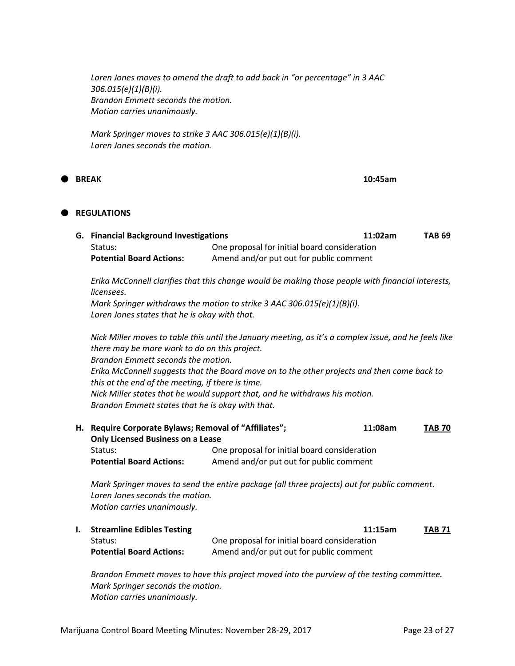*Loren Jones moves to amend the draft to add back in "or percentage" in 3 AAC 306.015(e)(1)(B)(i). Brandon Emmett seconds the motion. Motion carries unanimously.*

*Mark Springer moves to strike 3 AAC 306.015(e)(1)(B)(i). Loren Jones seconds the motion.*

**BREAK 10:45am**

#### **REGULATIONS**

| G. Financial Background Investigations |                                              | 11:02am | TAB 69 |
|----------------------------------------|----------------------------------------------|---------|--------|
| Status:                                | One proposal for initial board consideration |         |        |
| <b>Potential Board Actions:</b>        | Amend and/or put out for public comment      |         |        |

*Erika McConnell clarifies that this change would be making those people with financial interests, licensees.*

*Mark Springer withdraws the motion to strike 3 AAC 306.015(e)(1)(B)(i). Loren Jones states that he is okay with that.*

*Nick Miller moves to table this until the January meeting, as it's a complex issue, and he feels like there may be more work to do on this project. Brandon Emmett seconds the motion. Erika McConnell suggests that the Board move on to the other projects and then come back to this at the end of the meeting, if there is time. Nick Miller states that he would support that, and he withdraws his motion. Brandon Emmett states that he is okay with that.*

**H. Require Corporate Bylaws; Removal of "Affiliates"; 11:08am TAB 70 Only Licensed Business on a Lease** Status: One proposal for initial board consideration Potential Board Actions: Amend and/or put out for public comment

*Mark Springer moves to send the entire package (all three projects) out for public comment. Loren Jones seconds the motion. Motion carries unanimously.*

| <b>Streamline Edibles Testing</b> | 11:15am                                      | <b>TAB 71</b> |
|-----------------------------------|----------------------------------------------|---------------|
| Status:                           | One proposal for initial board consideration |               |
| <b>Potential Board Actions:</b>   | Amend and/or put out for public comment      |               |

*Brandon Emmett moves to have this project moved into the purview of the testing committee. Mark Springer seconds the motion. Motion carries unanimously.*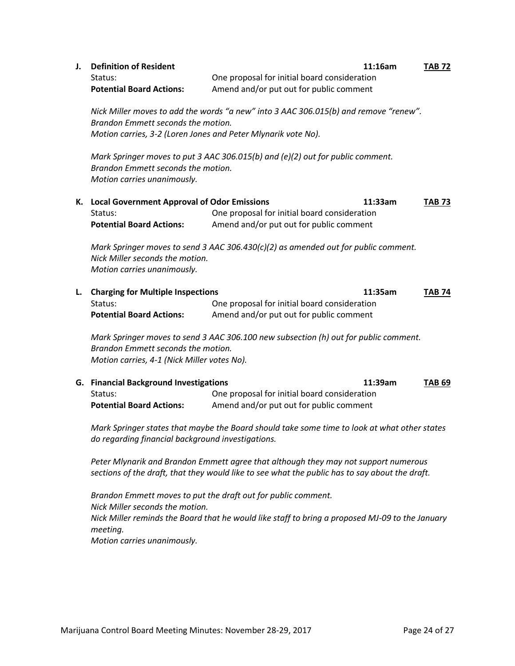| J.                                                                                                                                                                                          | <b>Definition of Resident</b><br>Status:<br><b>Potential Board Actions:</b>                                                                         | 11:16am<br>One proposal for initial board consideration<br>Amend and/or put out for public comment | <b>TAB 72</b> |  |  |
|---------------------------------------------------------------------------------------------------------------------------------------------------------------------------------------------|-----------------------------------------------------------------------------------------------------------------------------------------------------|----------------------------------------------------------------------------------------------------|---------------|--|--|
| Nick Miller moves to add the words "a new" into 3 AAC 306.015(b) and remove "renew".<br>Brandon Emmett seconds the motion.<br>Motion carries, 3-2 (Loren Jones and Peter Mlynarik vote No). |                                                                                                                                                     |                                                                                                    |               |  |  |
|                                                                                                                                                                                             | Mark Springer moves to put 3 AAC 306.015(b) and (e)(2) out for public comment.<br>Brandon Emmett seconds the motion.<br>Motion carries unanimously. |                                                                                                    |               |  |  |
| К.                                                                                                                                                                                          | <b>Local Government Approval of Odor Emissions</b><br>Status:<br><b>Potential Board Actions:</b>                                                    | 11:33am<br>One proposal for initial board consideration<br>Amend and/or put out for public comment | <b>TAB 73</b> |  |  |
|                                                                                                                                                                                             | Nick Miller seconds the motion.<br>Motion carries unanimously.                                                                                      | Mark Springer moves to send 3 AAC 306.430(c)(2) as amended out for public comment.                 |               |  |  |
| L.                                                                                                                                                                                          | <b>Charging for Multiple Inspections</b><br>Status:<br><b>Potential Board Actions:</b>                                                              | 11:35am<br>One proposal for initial board consideration<br>Amend and/or put out for public comment | <b>TAB 74</b> |  |  |
|                                                                                                                                                                                             | Brandon Emmett seconds the motion.<br>Motion carries, 4-1 (Nick Miller votes No).                                                                   | Mark Springer moves to send 3 AAC 306.100 new subsection (h) out for public comment.               |               |  |  |
|                                                                                                                                                                                             | <b>G.</b> Financial Background Investigations<br>Status:<br><b>Potential Board Actions:</b>                                                         | 11:39am<br>One proposal for initial board consideration<br>Amend and/or put out for public comment | <b>TAB 69</b> |  |  |
|                                                                                                                                                                                             |                                                                                                                                                     | Mark Springer states that maybe the Board should take some time to look at what other states       |               |  |  |

*do regarding financial background investigations.*

*Peter Mlynarik and Brandon Emmett agree that although they may not support numerous sections of the draft, that they would like to see what the public has to say about the draft.*

*Brandon Emmett moves to put the draft out for public comment. Nick Miller seconds the motion. Nick Miller reminds the Board that he would like staff to bring a proposed MJ-09 to the January meeting. Motion carries unanimously.*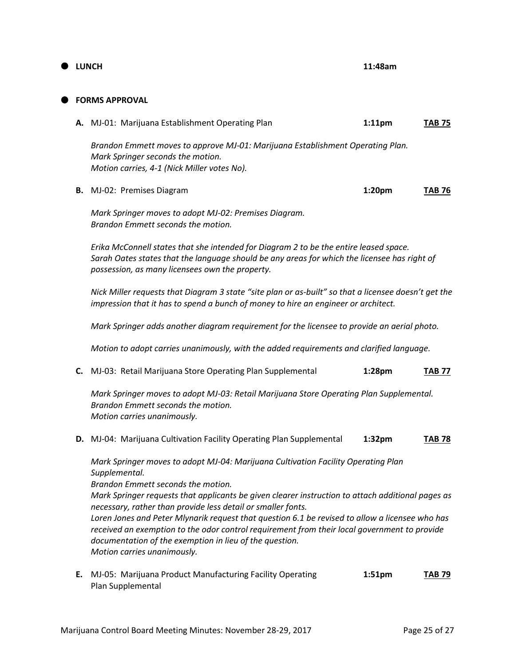## **LUNCH 11:48am**

#### **FORMS APPROVAL**

|                                                                                  | $1:11$ pm                                                                                    | <b>TAB 75</b>                                                                  |
|----------------------------------------------------------------------------------|----------------------------------------------------------------------------------------------|--------------------------------------------------------------------------------|
| Mark Springer seconds the motion.<br>Motion carries, 4-1 (Nick Miller votes No). |                                                                                              |                                                                                |
|                                                                                  | 1:20 <sub>pm</sub>                                                                           | <b>TAB 76</b>                                                                  |
|                                                                                  | <b>A.</b> MJ-01: Marijuana Establishment Operating Plan<br><b>B.</b> MJ-02: Premises Diagram | Brandon Emmett moves to approve MJ-01: Marijuana Establishment Operating Plan. |

*Mark Springer moves to adopt MJ-02: Premises Diagram. Brandon Emmett seconds the motion.*

*Erika McConnell states that she intended for Diagram 2 to be the entire leased space. Sarah Oates states that the language should be any areas for which the licensee has right of possession, as many licensees own the property.*

*Nick Miller requests that Diagram 3 state "site plan or as-built" so that a licensee doesn't get the impression that it has to spend a bunch of money to hire an engineer or architect.*

*Mark Springer adds another diagram requirement for the licensee to provide an aerial photo.*

*Motion to adopt carries unanimously, with the added requirements and clarified language.*

**C.** MJ-03: Retail Marijuana Store Operating Plan Supplemental **1:28pm TAB 77**

*Mark Springer moves to adopt MJ-03: Retail Marijuana Store Operating Plan Supplemental. Brandon Emmett seconds the motion. Motion carries unanimously.*

**D.** MJ-04: Marijuana Cultivation Facility Operating Plan Supplemental **1:32pm TAB 78**

*Mark Springer moves to adopt MJ-04: Marijuana Cultivation Facility Operating Plan Supplemental.*

*Brandon Emmett seconds the motion.*

*Mark Springer requests that applicants be given clearer instruction to attach additional pages as necessary, rather than provide less detail or smaller fonts.*

*Loren Jones and Peter Mlynarik request that question 6.1 be revised to allow a licensee who has received an exemption to the odor control requirement from their local government to provide documentation of the exemption in lieu of the question. Motion carries unanimously.*

**E.** MJ-05: Marijuana Product Manufacturing Facility Operating **1:51pm TAB 79** Plan Supplemental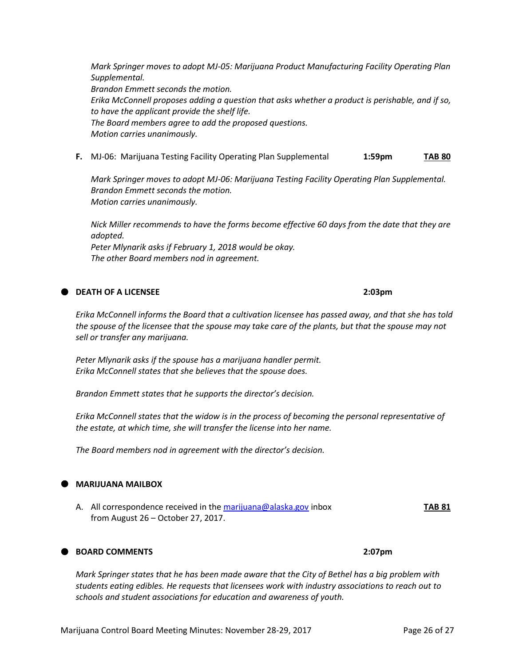*Mark Springer moves to adopt MJ-05: Marijuana Product Manufacturing Facility Operating Plan Supplemental. Brandon Emmett seconds the motion. Erika McConnell proposes adding a question that asks whether a product is perishable, and if so, to have the applicant provide the shelf life. The Board members agree to add the proposed questions. Motion carries unanimously.*

**F.** MJ-06: Marijuana Testing Facility Operating Plan Supplemental **1:59pm TAB 80**

*Mark Springer moves to adopt MJ-06: Marijuana Testing Facility Operating Plan Supplemental. Brandon Emmett seconds the motion. Motion carries unanimously.*

*Nick Miller recommends to have the forms become effective 60 days from the date that they are adopted. Peter Mlynarik asks if February 1, 2018 would be okay. The other Board members nod in agreement.*

## **DEATH OF A LICENSEE 2:03pm**

*Erika McConnell informs the Board that a cultivation licensee has passed away, and that she has told the spouse of the licensee that the spouse may take care of the plants, but that the spouse may not sell or transfer any marijuana.*

*Peter Mlynarik asks if the spouse has a marijuana handler permit. Erika McConnell states that she believes that the spouse does.*

*Brandon Emmett states that he supports the director's decision.*

*Erika McConnell states that the widow is in the process of becoming the personal representative of the estate, at which time, she will transfer the license into her name.*

*The Board members nod in agreement with the director's decision.*

### **MARIJUANA MAILBOX**

A. All correspondence received in th[e marijuana@alaska.gov](mailto:marijuana@alaska.gov) inbox **TAB 81** from August 26 – October 27, 2017.

## **BOARD COMMENTS 2:07pm**

*Mark Springer states that he has been made aware that the City of Bethel has a big problem with students eating edibles. He requests that licensees work with industry associations to reach out to schools and student associations for education and awareness of youth.*